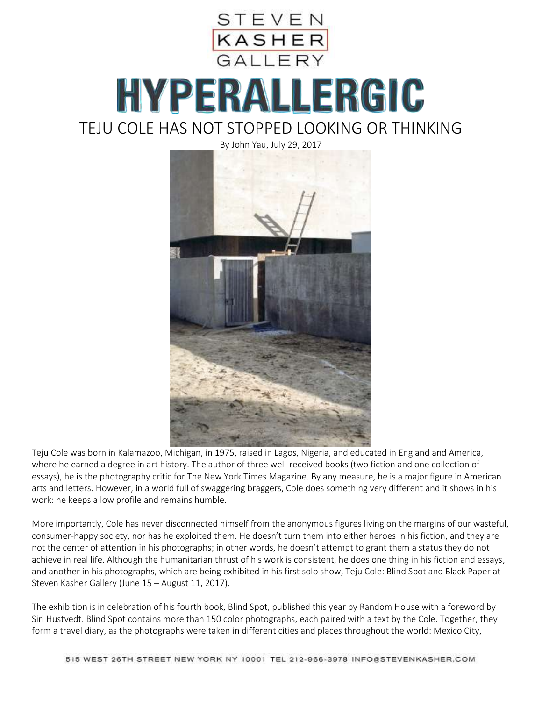

## HYPERALLERGIC TEJU COLE HAS NOT STOPPED LOOKING OR THINKING



Teju Cole was born in Kalamazoo, Michigan, in 1975, raised in Lagos, Nigeria, and educated in England and America, where he earned a degree in art history. The author of three well-received books (two fiction and one collection of essays), he is the photography critic for The New York Times Magazine. By any measure, he is a major figure in American arts and letters. However, in a world full of swaggering braggers, Cole does something very different and it shows in his work: he keeps a low profile and remains humble.

More importantly, Cole has never disconnected himself from the anonymous figures living on the margins of our wasteful, consumer-happy society, nor has he exploited them. He doesn't turn them into either heroes in his fiction, and they are not the center of attention in his photographs; in other words, he doesn't attempt to grant them a status they do not achieve in real life. Although the humanitarian thrust of his work is consistent, he does one thing in his fiction and essays, and another in his photographs, which are being exhibited in his first solo show, Teju Cole: Blind Spot and Black Paper at Steven Kasher Gallery (June 15 – August 11, 2017).

The exhibition is in celebration of his fourth book, Blind Spot, published this year by Random House with a foreword by Siri Hustvedt. Blind Spot contains more than 150 color photographs, each paired with a text by the Cole. Together, they form a travel diary, as the photographs were taken in different cities and places throughout the world: Mexico City,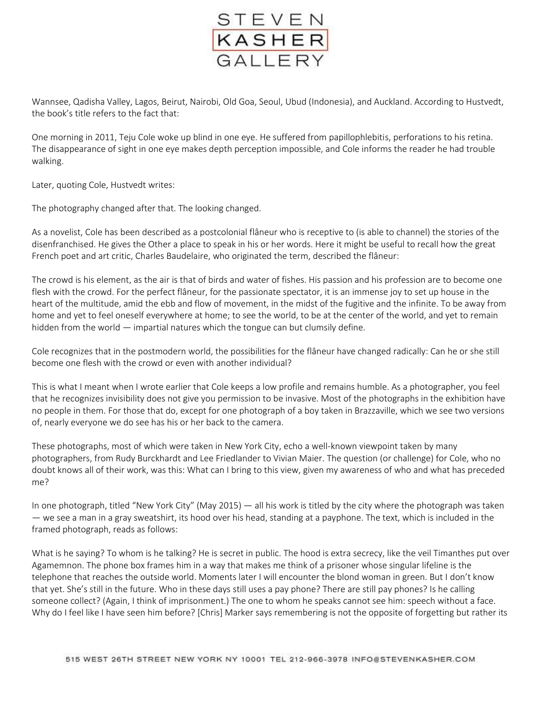

Wannsee, Qadisha Valley, Lagos, Beirut, Nairobi, Old Goa, Seoul, Ubud (Indonesia), and Auckland. According to Hustvedt, the book's title refers to the fact that:

One morning in 2011, Teju Cole woke up blind in one eye. He suffered from papillophlebitis, perforations to his retina. The disappearance of sight in one eye makes depth perception impossible, and Cole informs the reader he had trouble walking.

Later, quoting Cole, Hustvedt writes:

The photography changed after that. The looking changed.

As a novelist, Cole has been described as a postcolonial flâneur who is receptive to (is able to channel) the stories of the disenfranchised. He gives the Other a place to speak in his or her words. Here it might be useful to recall how the great French poet and art critic, Charles Baudelaire, who originated the term, described the flâneur:

The crowd is his element, as the air is that of birds and water of fishes. His passion and his profession are to become one flesh with the crowd. For the perfect flâneur, for the passionate spectator, it is an immense joy to set up house in the heart of the multitude, amid the ebb and flow of movement, in the midst of the fugitive and the infinite. To be away from home and yet to feel oneself everywhere at home; to see the world, to be at the center of the world, and yet to remain hidden from the world — impartial natures which the tongue can but clumsily define.

Cole recognizes that in the postmodern world, the possibilities for the flâneur have changed radically: Can he or she still become one flesh with the crowd or even with another individual?

This is what I meant when I wrote earlier that Cole keeps a low profile and remains humble. As a photographer, you feel that he recognizes invisibility does not give you permission to be invasive. Most of the photographs in the exhibition have no people in them. For those that do, except for one photograph of a boy taken in Brazzaville, which we see two versions of, nearly everyone we do see has his or her back to the camera.

These photographs, most of which were taken in New York City, echo a well-known viewpoint taken by many photographers, from Rudy Burckhardt and Lee Friedlander to Vivian Maier. The question (or challenge) for Cole, who no doubt knows all of their work, was this: What can I bring to this view, given my awareness of who and what has preceded me?

In one photograph, titled "New York City" (May 2015) — all his work is titled by the city where the photograph was taken — we see a man in a gray sweatshirt, its hood over his head, standing at a payphone. The text, which is included in the framed photograph, reads as follows:

What is he saying? To whom is he talking? He is secret in public. The hood is extra secrecy, like the veil Timanthes put over Agamemnon. The phone box frames him in a way that makes me think of a prisoner whose singular lifeline is the telephone that reaches the outside world. Moments later I will encounter the blond woman in green. But I don't know that yet. She's still in the future. Who in these days still uses a pay phone? There are still pay phones? Is he calling someone collect? (Again, I think of imprisonment.) The one to whom he speaks cannot see him: speech without a face. Why do I feel like I have seen him before? [Chris] Marker says remembering is not the opposite of forgetting but rather its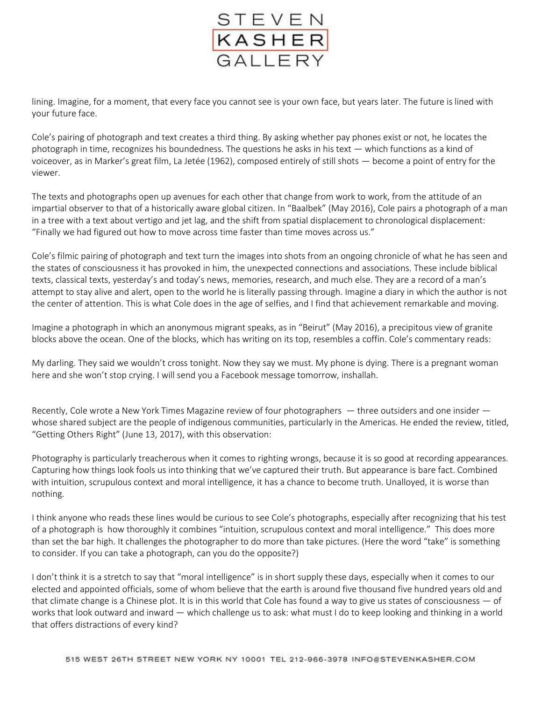

lining. Imagine, for a moment, that every face you cannot see is your own face, but years later. The future is lined with your future face.

Cole's pairing of photograph and text creates a third thing. By asking whether pay phones exist or not, he locates the photograph in time, recognizes his boundedness. The questions he asks in his text — which functions as a kind of voiceover, as in Marker's great film, La Jetée (1962), composed entirely of still shots — become a point of entry for the viewer.

The texts and photographs open up avenues for each other that change from work to work, from the attitude of an impartial observer to that of a historically aware global citizen. In "Baalbek" (May 2016), Cole pairs a photograph of a man in a tree with a text about vertigo and jet lag, and the shift from spatial displacement to chronological displacement: "Finally we had figured out how to move across time faster than time moves across us."

Cole's filmic pairing of photograph and text turn the images into shots from an ongoing chronicle of what he has seen and the states of consciousness it has provoked in him, the unexpected connections and associations. These include biblical texts, classical texts, yesterday's and today's news, memories, research, and much else. They are a record of a man's attempt to stay alive and alert, open to the world he is literally passing through. Imagine a diary in which the author is not the center of attention. This is what Cole does in the age of selfies, and I find that achievement remarkable and moving.

Imagine a photograph in which an anonymous migrant speaks, as in "Beirut" (May 2016), a precipitous view of granite blocks above the ocean. One of the blocks, which has writing on its top, resembles a coffin. Cole's commentary reads:

My darling. They said we wouldn't cross tonight. Now they say we must. My phone is dying. There is a pregnant woman here and she won't stop crying. I will send you a Facebook message tomorrow, inshallah.

Recently, Cole wrote a New York Times Magazine review of four photographers — three outsiders and one insider whose shared subject are the people of indigenous communities, particularly in the Americas. He ended the review, titled, "Getting Others Right" (June 13, 2017), with this observation:

Photography is particularly treacherous when it comes to righting wrongs, because it is so good at recording appearances. Capturing how things look fools us into thinking that we've captured their truth. But appearance is bare fact. Combined with intuition, scrupulous context and moral intelligence, it has a chance to become truth. Unalloyed, it is worse than nothing.

I think anyone who reads these lines would be curious to see Cole's photographs, especially after recognizing that his test of a photograph is how thoroughly it combines "intuition, scrupulous context and moral intelligence." This does more than set the bar high. It challenges the photographer to do more than take pictures. (Here the word "take" is something to consider. If you can take a photograph, can you do the opposite?)

I don't think it is a stretch to say that "moral intelligence" is in short supply these days, especially when it comes to our elected and appointed officials, some of whom believe that the earth is around five thousand five hundred years old and that climate change is a Chinese plot. It is in this world that Cole has found a way to give us states of consciousness — of works that look outward and inward — which challenge us to ask: what must I do to keep looking and thinking in a world that offers distractions of every kind?